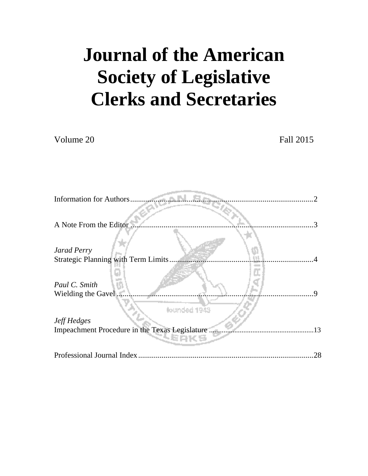# **Journal of the American Society of Legislative Clerks and Secretaries**

Volume 20 Fall 2015

| <b>Information for Authors</b>                 |    |
|------------------------------------------------|----|
|                                                |    |
| A Note From the Editor.                        |    |
| <b>Jarad Perry</b>                             |    |
| Strategic Planning with Term Limits.           |    |
| Paul C. Smith<br>Wielding the Gavel            |    |
| founded 1943<br><b>Jeff Hedges</b>             |    |
| Impeachment Procedure in the Texas Legislature | 13 |
|                                                |    |
| Professional Journal Index                     | 28 |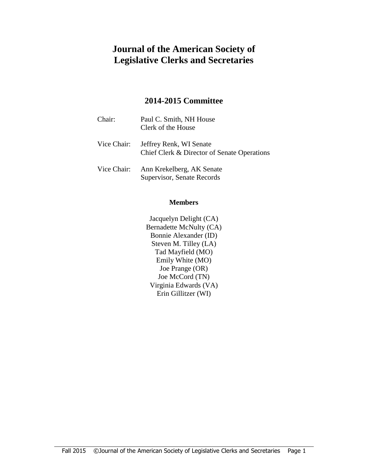# **Journal of the American Society of Legislative Clerks and Secretaries**

## **2014-2015 Committee**

| Chair:      | Paul C. Smith, NH House<br>Clerk of the House                          |
|-------------|------------------------------------------------------------------------|
| Vice Chair: | Jeffrey Renk, WI Senate<br>Chief Clerk & Director of Senate Operations |
| Vice Chair: | Ann Krekelberg, AK Senate<br>Supervisor, Senate Records                |

#### **Members**

Jacquelyn Delight (CA) Bernadette McNulty (CA) Bonnie Alexander (ID) Steven M. Tilley (LA) Tad Mayfield (MO) Emily White (MO) Joe Prange (OR) Joe McCord (TN) Virginia Edwards (VA) Erin Gillitzer (WI)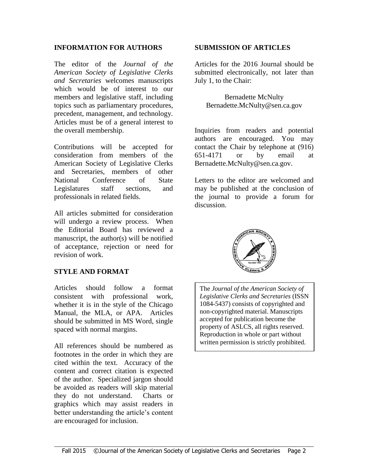#### **INFORMATION FOR AUTHORS**

The editor of the *Journal of the American Society of Legislative Clerks and Secretaries* welcomes manuscripts which would be of interest to our members and legislative staff, including topics such as parliamentary procedures, precedent, management, and technology. Articles must be of a general interest to the overall membership.

Contributions will be accepted for consideration from members of the American Society of Legislative Clerks and Secretaries, members of other National Conference of State Legislatures staff sections, and professionals in related fields.

All articles submitted for consideration will undergo a review process. When the Editorial Board has reviewed a manuscript, the author(s) will be notified of acceptance, rejection or need for revision of work.

#### **STYLE AND FORMAT**

Articles should follow a format consistent with professional work, whether it is in the style of the Chicago Manual, the MLA, or APA. Articles should be submitted in MS Word, single spaced with normal margins.

All references should be numbered as footnotes in the order in which they are cited within the text. Accuracy of the content and correct citation is expected of the author. Specialized jargon should be avoided as readers will skip material they do not understand. Charts or graphics which may assist readers in better understanding the article's content are encouraged for inclusion.

#### **SUBMISSION OF ARTICLES**

Articles for the 2016 Journal should be submitted electronically, not later than July 1, to the Chair:

Bernadette McNulty Bernadette.McNulty@sen.ca.gov

Inquiries from readers and potential authors are encouraged. You may contact the Chair by telephone at (916) 651-4171 or by email at Bernadette.McNulty@sen.ca.gov.

Letters to the editor are welcomed and may be published at the conclusion of the journal to provide a forum for discussion.



The *Journal of the American Society of Legislative Clerks and Secretaries* (ISSN 1084-5437) consists of copyrighted and non-copyrighted material. Manuscripts accepted for publication become the property of ASLCS, all rights reserved. Reproduction in whole or part without written permission is strictly prohibited.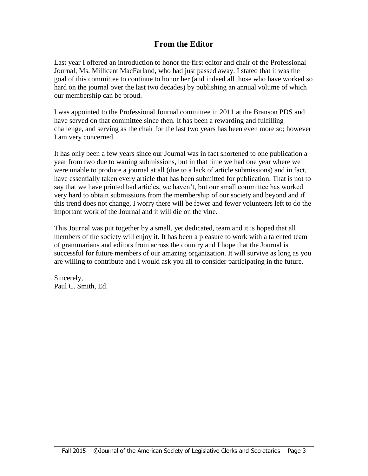# **From the Editor**

Last year I offered an introduction to honor the first editor and chair of the Professional Journal, Ms. Millicent MacFarland, who had just passed away. I stated that it was the goal of this committee to continue to honor her (and indeed all those who have worked so hard on the journal over the last two decades) by publishing an annual volume of which our membership can be proud.

I was appointed to the Professional Journal committee in 2011 at the Branson PDS and have served on that committee since then. It has been a rewarding and fulfilling challenge, and serving as the chair for the last two years has been even more so; however I am very concerned.

It has only been a few years since our Journal was in fact shortened to one publication a year from two due to waning submissions, but in that time we had one year where we were unable to produce a journal at all (due to a lack of article submissions) and in fact, have essentially taken every article that has been submitted for publication. That is not to say that we have printed bad articles, we haven't, but our small committee has worked very hard to obtain submissions from the membership of our society and beyond and if this trend does not change, I worry there will be fewer and fewer volunteers left to do the important work of the Journal and it will die on the vine.

This Journal was put together by a small, yet dedicated, team and it is hoped that all members of the society will enjoy it. It has been a pleasure to work with a talented team of grammarians and editors from across the country and I hope that the Journal is successful for future members of our amazing organization. It will survive as long as you are willing to contribute and I would ask you all to consider participating in the future.

Sincerely, Paul C. Smith, Ed.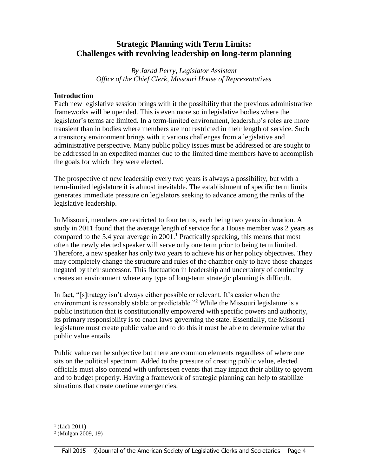## **Strategic Planning with Term Limits: Challenges with revolving leadership on long-term planning**

*By Jarad Perry, Legislator Assistant Office of the Chief Clerk, Missouri House of Representatives*

#### **Introduction**

Each new legislative session brings with it the possibility that the previous administrative frameworks will be upended. This is even more so in legislative bodies where the legislator's terms are limited. In a term-limited environment, leadership's roles are more transient than in bodies where members are not restricted in their length of service. Such a transitory environment brings with it various challenges from a legislative and administrative perspective. Many public policy issues must be addressed or are sought to be addressed in an expedited manner due to the limited time members have to accomplish the goals for which they were elected.

The prospective of new leadership every two years is always a possibility, but with a term-limited legislature it is almost inevitable. The establishment of specific term limits generates immediate pressure on legislators seeking to advance among the ranks of the legislative leadership.

In Missouri, members are restricted to four terms, each being two years in duration. A study in 2011 found that the average length of service for a House member was 2 years as compared to the 5.4 year average in 2001.<sup>1</sup> Practically speaking, this means that most often the newly elected speaker will serve only one term prior to being term limited. Therefore, a new speaker has only two years to achieve his or her policy objectives. They may completely change the structure and rules of the chamber only to have those changes negated by their successor. This fluctuation in leadership and uncertainty of continuity creates an environment where any type of long-term strategic planning is difficult.

In fact, "[s]trategy isn't always either possible or relevant. It's easier when the environment is reasonably stable or predictable."<sup>2</sup> While the Missouri legislature is a public institution that is constitutionally empowered with specific powers and authority, its primary responsibility is to enact laws governing the state. Essentially, the Missouri legislature must create public value and to do this it must be able to determine what the public value entails.

Public value can be subjective but there are common elements regardless of where one sits on the political spectrum. Added to the pressure of creating public value, elected officials must also contend with unforeseen events that may impact their ability to govern and to budget properly. Having a framework of strategic planning can help to stabilize situations that create onetime emergencies.

 $\overline{a}$  $($ Lieb 2011)

<sup>2</sup> (Mulgan 2009, 19)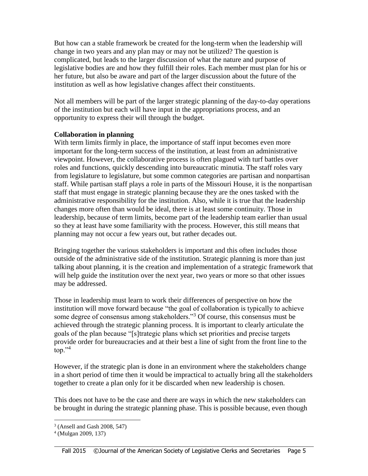But how can a stable framework be created for the long-term when the leadership will change in two years and any plan may or may not be utilized? The question is complicated, but leads to the larger discussion of what the nature and purpose of legislative bodies are and how they fulfill their roles. Each member must plan for his or her future, but also be aware and part of the larger discussion about the future of the institution as well as how legislative changes affect their constituents.

Not all members will be part of the larger strategic planning of the day-to-day operations of the institution but each will have input in the appropriations process, and an opportunity to express their will through the budget.

#### **Collaboration in planning**

With term limits firmly in place, the importance of staff input becomes even more important for the long-term success of the institution, at least from an administrative viewpoint. However, the collaborative process is often plagued with turf battles over roles and functions, quickly descending into bureaucratic minutia. The staff roles vary from legislature to legislature, but some common categories are partisan and nonpartisan staff. While partisan staff plays a role in parts of the Missouri House, it is the nonpartisan staff that must engage in strategic planning because they are the ones tasked with the administrative responsibility for the institution. Also, while it is true that the leadership changes more often than would be ideal, there is at least some continuity. Those in leadership, because of term limits, become part of the leadership team earlier than usual so they at least have some familiarity with the process. However, this still means that planning may not occur a few years out, but rather decades out.

Bringing together the various stakeholders is important and this often includes those outside of the administrative side of the institution. Strategic planning is more than just talking about planning, it is the creation and implementation of a strategic framework that will help guide the institution over the next year, two years or more so that other issues may be addressed.

Those in leadership must learn to work their differences of perspective on how the institution will move forward because "the goal of collaboration is typically to achieve some degree of consensus among stakeholders."<sup>3</sup> Of course, this consensus must be achieved through the strategic planning process. It is important to clearly articulate the goals of the plan because "[s]trategic plans which set priorities and precise targets provide order for bureaucracies and at their best a line of sight from the front line to the top." $4$ 

However, if the strategic plan is done in an environment where the stakeholders change in a short period of time then it would be impractical to actually bring all the stakeholders together to create a plan only for it be discarded when new leadership is chosen.

This does not have to be the case and there are ways in which the new stakeholders can be brought in during the strategic planning phase. This is possible because, even though

 $\overline{a}$ 3 (Ansell and Gash 2008, 547)

<sup>4</sup> (Mulgan 2009, 137)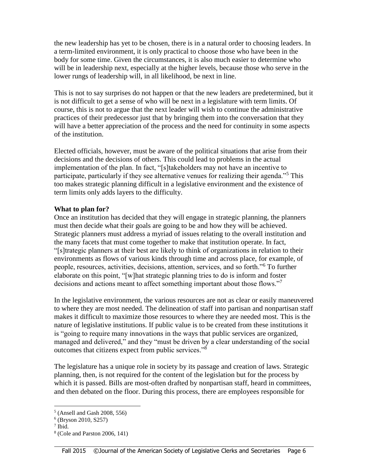the new leadership has yet to be chosen, there is in a natural order to choosing leaders. In a term-limited environment, it is only practical to choose those who have been in the body for some time. Given the circumstances, it is also much easier to determine who will be in leadership next, especially at the higher levels, because those who serve in the lower rungs of leadership will, in all likelihood, be next in line.

This is not to say surprises do not happen or that the new leaders are predetermined, but it is not difficult to get a sense of who will be next in a legislature with term limits. Of course, this is not to argue that the next leader will wish to continue the administrative practices of their predecessor just that by bringing them into the conversation that they will have a better appreciation of the process and the need for continuity in some aspects of the institution.

Elected officials, however, must be aware of the political situations that arise from their decisions and the decisions of others. This could lead to problems in the actual implementation of the plan. In fact, "[s]takeholders may not have an incentive to participate, particularly if they see alternative venues for realizing their agenda."<sup>5</sup> This too makes strategic planning difficult in a legislative environment and the existence of term limits only adds layers to the difficulty.

#### **What to plan for?**

Once an institution has decided that they will engage in strategic planning, the planners must then decide what their goals are going to be and how they will be achieved. Strategic planners must address a myriad of issues relating to the overall institution and the many facets that must come together to make that institution operate. In fact, "[s]trategic planners at their best are likely to think of organizations in relation to their environments as flows of various kinds through time and across place, for example, of people, resources, activities, decisions, attention, services, and so forth."<sup>6</sup> To further elaborate on this point, "[w]hat strategic planning tries to do is inform and foster decisions and actions meant to affect something important about those flows."<sup>7</sup>

In the legislative environment, the various resources are not as clear or easily maneuvered to where they are most needed. The delineation of staff into partisan and nonpartisan staff makes it difficult to maximize those resources to where they are needed most. This is the nature of legislative institutions. If public value is to be created from these institutions it is "going to require many innovations in the ways that public services are organized, managed and delivered," and they "must be driven by a clear understanding of the social outcomes that citizens expect from public services."<sup>8</sup>

The legislature has a unique role in society by its passage and creation of laws. Strategic planning, then, is not required for the content of the legislation but for the process by which it is passed. Bills are most-often drafted by nonpartisan staff, heard in committees, and then debated on the floor. During this process, there are employees responsible for

<sup>5</sup> (Ansell and Gash 2008, 556)

<sup>6</sup> (Bryson 2010, S257)

<sup>7</sup> Ibid.

<sup>8</sup> (Cole and Parston 2006, 141)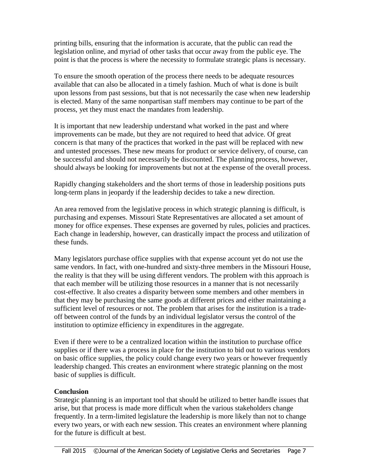printing bills, ensuring that the information is accurate, that the public can read the legislation online, and myriad of other tasks that occur away from the public eye. The point is that the process is where the necessity to formulate strategic plans is necessary.

To ensure the smooth operation of the process there needs to be adequate resources available that can also be allocated in a timely fashion. Much of what is done is built upon lessons from past sessions, but that is not necessarily the case when new leadership is elected. Many of the same nonpartisan staff members may continue to be part of the process, yet they must enact the mandates from leadership.

It is important that new leadership understand what worked in the past and where improvements can be made, but they are not required to heed that advice. Of great concern is that many of the practices that worked in the past will be replaced with new and untested processes. These new means for product or service delivery, of course, can be successful and should not necessarily be discounted. The planning process, however, should always be looking for improvements but not at the expense of the overall process.

Rapidly changing stakeholders and the short terms of those in leadership positions puts long-term plans in jeopardy if the leadership decides to take a new direction.

An area removed from the legislative process in which strategic planning is difficult, is purchasing and expenses. Missouri State Representatives are allocated a set amount of money for office expenses. These expenses are governed by rules, policies and practices. Each change in leadership, however, can drastically impact the process and utilization of these funds.

Many legislators purchase office supplies with that expense account yet do not use the same vendors. In fact, with one-hundred and sixty-three members in the Missouri House, the reality is that they will be using different vendors. The problem with this approach is that each member will be utilizing those resources in a manner that is not necessarily cost-effective. It also creates a disparity between some members and other members in that they may be purchasing the same goods at different prices and either maintaining a sufficient level of resources or not. The problem that arises for the institution is a tradeoff between control of the funds by an individual legislator versus the control of the institution to optimize efficiency in expenditures in the aggregate.

Even if there were to be a centralized location within the institution to purchase office supplies or if there was a process in place for the institution to bid out to various vendors on basic office supplies, the policy could change every two years or however frequently leadership changed. This creates an environment where strategic planning on the most basic of supplies is difficult.

### **Conclusion**

Strategic planning is an important tool that should be utilized to better handle issues that arise, but that process is made more difficult when the various stakeholders change frequently. In a term-limited legislature the leadership is more likely than not to change every two years, or with each new session. This creates an environment where planning for the future is difficult at best.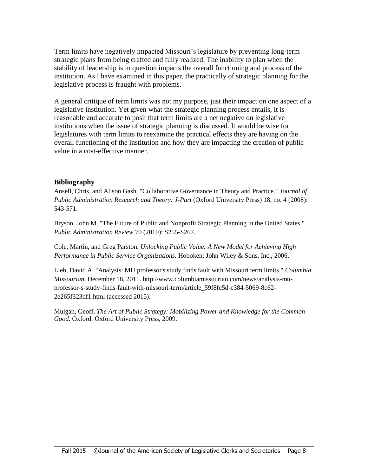Term limits have negatively impacted Missouri's legislature by preventing long-term strategic plans from being crafted and fully realized. The inability to plan when the stability of leadership is in question impacts the overall functioning and process of the institution. As I have examined in this paper, the practically of strategic planning for the legislative process is fraught with problems.

A general critique of term limits was not my purpose, just their impact on one aspect of a legislative institution. Yet given what the strategic planning process entails, it is reasonable and accurate to posit that term limits are a net negative on legislative institutions when the issue of strategic planning is discussed. It would be wise for legislatures with term limits to reexamine the practical effects they are having on the overall functioning of the institution and how they are impacting the creation of public value in a cost-effective manner.

#### **Bibliography**

Ansell, Chris, and Alison Gash. "Collaborative Governance in Theory and Practice." *Journal of Public Administration Research and Theory: J-Part* (Oxford University Press) 18, no. 4 (2008): 543-571.

Bryson, John M. "The Future of Public and Nonprofit Strategic Planning in the United States." *Public Administration Review* 70 (2010): S255-S267.

Cole, Martin, and Greg Parston. *Unlocking Public Value: A New Model for Achieving High Performance in Public Service Organizations.* Hoboken: John Wiley & Sons, Inc., 2006.

Lieb, David A. "Analysis: MU professor's study finds fault with Missouri term limits." *Columbia Missourian.* December 18, 2011. http://www.columbiamissourian.com/news/analysis-muprofessor-s-study-finds-fault-with-missouri-term/article\_59f8fc5d-c384-5069-8c62- 2e265f323df1.html (accessed 2015).

Mulgan, Geoff. *The Art of Public Strategy: Mobilizing Power and Knowledge for the Common Good.* Oxford: Oxford University Press, 2009.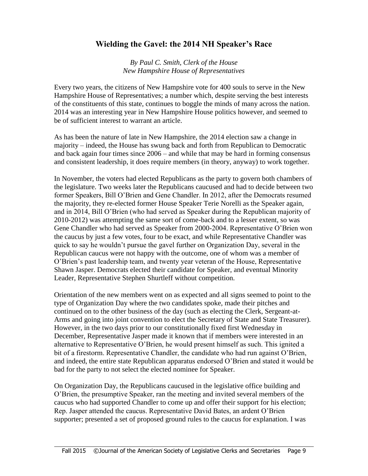## **Wielding the Gavel: the 2014 NH Speaker's Race**

*By Paul C. Smith, Clerk of the House New Hampshire House of Representatives*

Every two years, the citizens of New Hampshire vote for 400 souls to serve in the New Hampshire House of Representatives; a number which, despite serving the best interests of the constituents of this state, continues to boggle the minds of many across the nation. 2014 was an interesting year in New Hampshire House politics however, and seemed to be of sufficient interest to warrant an article.

As has been the nature of late in New Hampshire, the 2014 election saw a change in majority – indeed, the House has swung back and forth from Republican to Democratic and back again four times since 2006 – and while that may be hard in forming consensus and consistent leadership, it does require members (in theory, anyway) to work together.

In November, the voters had elected Republicans as the party to govern both chambers of the legislature. Two weeks later the Republicans caucused and had to decide between two former Speakers, Bill O'Brien and Gene Chandler. In 2012, after the Democrats resumed the majority, they re-elected former House Speaker Terie Norelli as the Speaker again, and in 2014, Bill O'Brien (who had served as Speaker during the Republican majority of 2010-2012) was attempting the same sort of come-back and to a lesser extent, so was Gene Chandler who had served as Speaker from 2000-2004. Representative O'Brien won the caucus by just a few votes, four to be exact, and while Representative Chandler was quick to say he wouldn't pursue the gavel further on Organization Day, several in the Republican caucus were not happy with the outcome, one of whom was a member of O'Brien's past leadership team, and twenty year veteran of the House, Representative Shawn Jasper. Democrats elected their candidate for Speaker, and eventual Minority Leader, Representative Stephen Shurtleff without competition.

Orientation of the new members went on as expected and all signs seemed to point to the type of Organization Day where the two candidates spoke, made their pitches and continued on to the other business of the day (such as electing the Clerk, Sergeant-at-Arms and going into joint convention to elect the Secretary of State and State Treasurer). However, in the two days prior to our constitutionally fixed first Wednesday in December, Representative Jasper made it known that if members were interested in an alternative to Representative O'Brien, he would present himself as such. This ignited a bit of a firestorm. Representative Chandler, the candidate who had run against O'Brien, and indeed, the entire state Republican apparatus endorsed O'Brien and stated it would be bad for the party to not select the elected nominee for Speaker.

On Organization Day, the Republicans caucused in the legislative office building and O'Brien, the presumptive Speaker, ran the meeting and invited several members of the caucus who had supported Chandler to come up and offer their support for his election; Rep. Jasper attended the caucus. Representative David Bates, an ardent O'Brien supporter; presented a set of proposed ground rules to the caucus for explanation. I was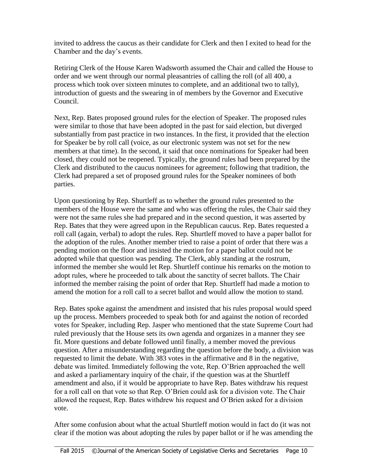invited to address the caucus as their candidate for Clerk and then I exited to head for the Chamber and the day's events.

Retiring Clerk of the House Karen Wadsworth assumed the Chair and called the House to order and we went through our normal pleasantries of calling the roll (of all 400, a process which took over sixteen minutes to complete, and an additional two to tally), introduction of guests and the swearing in of members by the Governor and Executive Council.

Next, Rep. Bates proposed ground rules for the election of Speaker. The proposed rules were similar to those that have been adopted in the past for said election, but diverged substantially from past practice in two instances. In the first, it provided that the election for Speaker be by roll call (voice, as our electronic system was not set for the new members at that time). In the second, it said that once nominations for Speaker had been closed, they could not be reopened. Typically, the ground rules had been prepared by the Clerk and distributed to the caucus nominees for agreement; following that tradition, the Clerk had prepared a set of proposed ground rules for the Speaker nominees of both parties.

Upon questioning by Rep. Shurtleff as to whether the ground rules presented to the members of the House were the same and who was offering the rules, the Chair said they were not the same rules she had prepared and in the second question, it was asserted by Rep. Bates that they were agreed upon in the Republican caucus. Rep. Bates requested a roll call (again, verbal) to adopt the rules. Rep. Shurtleff moved to have a paper ballot for the adoption of the rules. Another member tried to raise a point of order that there was a pending motion on the floor and insisted the motion for a paper ballot could not be adopted while that question was pending. The Clerk, ably standing at the rostrum, informed the member she would let Rep. Shurtleff continue his remarks on the motion to adopt rules, where he proceeded to talk about the sanctity of secret ballots. The Chair informed the member raising the point of order that Rep. Shurtleff had made a motion to amend the motion for a roll call to a secret ballot and would allow the motion to stand.

Rep. Bates spoke against the amendment and insisted that his rules proposal would speed up the process. Members proceeded to speak both for and against the notion of recorded votes for Speaker, including Rep. Jasper who mentioned that the state Supreme Court had ruled previously that the House sets its own agenda and organizes in a manner they see fit. More questions and debate followed until finally, a member moved the previous question. After a misunderstanding regarding the question before the body, a division was requested to limit the debate. With 383 votes in the affirmative and 8 in the negative, debate was limited. Immediately following the vote, Rep. O'Brien approached the well and asked a parliamentary inquiry of the chair, if the question was at the Shurtleff amendment and also, if it would be appropriate to have Rep. Bates withdraw his request for a roll call on that vote so that Rep. O'Brien could ask for a division vote. The Chair allowed the request, Rep. Bates withdrew his request and O'Brien asked for a division vote.

After some confusion about what the actual Shurtleff motion would in fact do (it was not clear if the motion was about adopting the rules by paper ballot or if he was amending the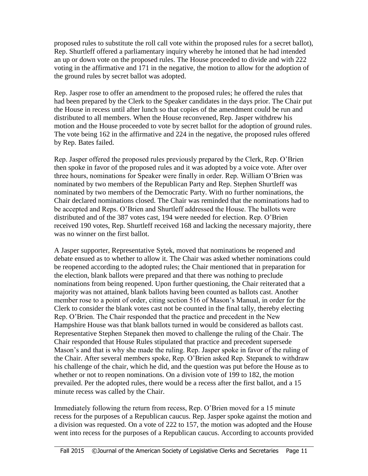proposed rules to substitute the roll call vote within the proposed rules for a secret ballot), Rep. Shurtleff offered a parliamentary inquiry whereby he intoned that he had intended an up or down vote on the proposed rules. The House proceeded to divide and with 222 voting in the affirmative and 171 in the negative, the motion to allow for the adoption of the ground rules by secret ballot was adopted.

Rep. Jasper rose to offer an amendment to the proposed rules; he offered the rules that had been prepared by the Clerk to the Speaker candidates in the days prior. The Chair put the House in recess until after lunch so that copies of the amendment could be run and distributed to all members. When the House reconvened, Rep. Jasper withdrew his motion and the House proceeded to vote by secret ballot for the adoption of ground rules. The vote being 162 in the affirmative and 224 in the negative, the proposed rules offered by Rep. Bates failed.

Rep. Jasper offered the proposed rules previously prepared by the Clerk, Rep. O'Brien then spoke in favor of the proposed rules and it was adopted by a voice vote. After over three hours, nominations for Speaker were finally in order. Rep. William O'Brien was nominated by two members of the Republican Party and Rep. Stephen Shurtleff was nominated by two members of the Democratic Party. With no further nominations, the Chair declared nominations closed. The Chair was reminded that the nominations had to be accepted and Reps. O'Brien and Shurtleff addressed the House. The ballots were distributed and of the 387 votes cast, 194 were needed for election. Rep. O'Brien received 190 votes, Rep. Shurtleff received 168 and lacking the necessary majority, there was no winner on the first ballot.

A Jasper supporter, Representative Sytek, moved that nominations be reopened and debate ensued as to whether to allow it. The Chair was asked whether nominations could be reopened according to the adopted rules; the Chair mentioned that in preparation for the election, blank ballots were prepared and that there was nothing to preclude nominations from being reopened. Upon further questioning, the Chair reiterated that a majority was not attained, blank ballots having been counted as ballots cast. Another member rose to a point of order, citing section 516 of Mason's Manual, in order for the Clerk to consider the blank votes cast not be counted in the final tally, thereby electing Rep. O'Brien. The Chair responded that the practice and precedent in the New Hampshire House was that blank ballots turned in would be considered as ballots cast. Representative Stephen Stepanek then moved to challenge the ruling of the Chair. The Chair responded that House Rules stipulated that practice and precedent supersede Mason's and that is why she made the ruling. Rep. Jasper spoke in favor of the ruling of the Chair. After several members spoke, Rep. O'Brien asked Rep. Stepanek to withdraw his challenge of the chair, which he did, and the question was put before the House as to whether or not to reopen nominations. On a division vote of 199 to 182, the motion prevailed. Per the adopted rules, there would be a recess after the first ballot, and a 15 minute recess was called by the Chair.

Immediately following the return from recess, Rep. O'Brien moved for a 15 minute recess for the purposes of a Republican caucus. Rep. Jasper spoke against the motion and a division was requested. On a vote of 222 to 157, the motion was adopted and the House went into recess for the purposes of a Republican caucus. According to accounts provided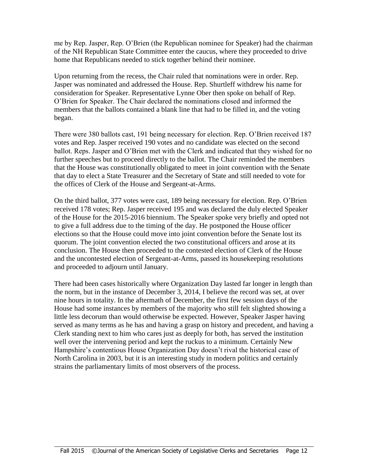me by Rep. Jasper, Rep. O'Brien (the Republican nominee for Speaker) had the chairman of the NH Republican State Committee enter the caucus, where they proceeded to drive home that Republicans needed to stick together behind their nominee.

Upon returning from the recess, the Chair ruled that nominations were in order. Rep. Jasper was nominated and addressed the House. Rep. Shurtleff withdrew his name for consideration for Speaker. Representative Lynne Ober then spoke on behalf of Rep. O'Brien for Speaker. The Chair declared the nominations closed and informed the members that the ballots contained a blank line that had to be filled in, and the voting began.

There were 380 ballots cast, 191 being necessary for election. Rep. O'Brien received 187 votes and Rep. Jasper received 190 votes and no candidate was elected on the second ballot. Reps. Jasper and O'Brien met with the Clerk and indicated that they wished for no further speeches but to proceed directly to the ballot. The Chair reminded the members that the House was constitutionally obligated to meet in joint convention with the Senate that day to elect a State Treasurer and the Secretary of State and still needed to vote for the offices of Clerk of the House and Sergeant-at-Arms.

On the third ballot, 377 votes were cast, 189 being necessary for election. Rep. O'Brien received 178 votes; Rep. Jasper received 195 and was declared the duly elected Speaker of the House for the 2015-2016 biennium. The Speaker spoke very briefly and opted not to give a full address due to the timing of the day. He postponed the House officer elections so that the House could move into joint convention before the Senate lost its quorum. The joint convention elected the two constitutional officers and arose at its conclusion. The House then proceeded to the contested election of Clerk of the House and the uncontested election of Sergeant-at-Arms, passed its housekeeping resolutions and proceeded to adjourn until January.

There had been cases historically where Organization Day lasted far longer in length than the norm, but in the instance of December 3, 2014, I believe the record was set, at over nine hours in totality. In the aftermath of December, the first few session days of the House had some instances by members of the majority who still felt slighted showing a little less decorum than would otherwise be expected. However, Speaker Jasper having served as many terms as he has and having a grasp on history and precedent, and having a Clerk standing next to him who cares just as deeply for both, has served the institution well over the intervening period and kept the ruckus to a minimum. Certainly New Hampshire's contentious House Organization Day doesn't rival the historical case of North Carolina in 2003, but it is an interesting study in modern politics and certainly strains the parliamentary limits of most observers of the process.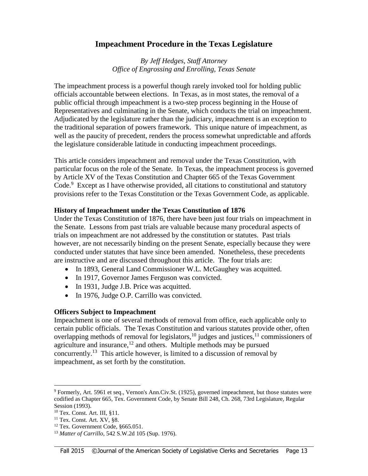## **Impeachment Procedure in the Texas Legislature**

*By Jeff Hedges, Staff Attorney Office of Engrossing and Enrolling, Texas Senate*

The impeachment process is a powerful though rarely invoked tool for holding public officials accountable between elections. In Texas, as in most states, the removal of a public official through impeachment is a two-step process beginning in the House of Representatives and culminating in the Senate, which conducts the trial on impeachment. Adjudicated by the legislature rather than the judiciary, impeachment is an exception to the traditional separation of powers framework. This unique nature of impeachment, as well as the paucity of precedent, renders the process somewhat unpredictable and affords the legislature considerable latitude in conducting impeachment proceedings.

This article considers impeachment and removal under the Texas Constitution, with particular focus on the role of the Senate. In Texas, the impeachment process is governed by Article XV of the Texas Constitution and Chapter 665 of the Texas Government Code.<sup>9</sup> Except as I have otherwise provided, all citations to constitutional and statutory provisions refer to the Texas Constitution or the Texas Government Code, as applicable.

#### **History of Impeachment under the Texas Constitution of 1876**

Under the Texas Constitution of 1876, there have been just four trials on impeachment in the Senate. Lessons from past trials are valuable because many procedural aspects of trials on impeachment are not addressed by the constitution or statutes. Past trials however, are not necessarily binding on the present Senate, especially because they were conducted under statutes that have since been amended. Nonetheless, these precedents are instructive and are discussed throughout this article. The four trials are:

- In 1893, General Land Commissioner W.L. McGaughey was acquitted.
- In 1917, Governor James Ferguson was convicted.
- In 1931, Judge J.B. Price was acquitted.
- In 1976, Judge O.P. Carrillo was convicted.

#### **Officers Subject to Impeachment**

Impeachment is one of several methods of removal from office, each applicable only to certain public officials. The Texas Constitution and various statutes provide other, often overlapping methods of removal for legislators,<sup>10</sup> judges and justices,<sup>11</sup> commissioners of agriculture and insurance, $12$  and others. Multiple methods may be pursued concurrently.<sup>13</sup> This article however, is limited to a discussion of removal by impeachment, as set forth by the constitution.

 $9$  Formerly, Art. 5961 et seq., Vernon's Ann.Civ.St. (1925), governed impeachment, but those statutes were codified as Chapter 665, Tex. Government Code, by Senate Bill 248, Ch. 268, 73rd Legislature, Regular Session (1993).

<sup>10</sup> Tex. Const. Art. III, §11.

<sup>&</sup>lt;sup>11</sup> Tex. Const. Art. XV, §8.

<sup>12</sup> Tex. Government Code, §665.051.

<sup>13</sup> *Matter of Carrillo*, 542 S.W.2d 105 (Sup. 1976).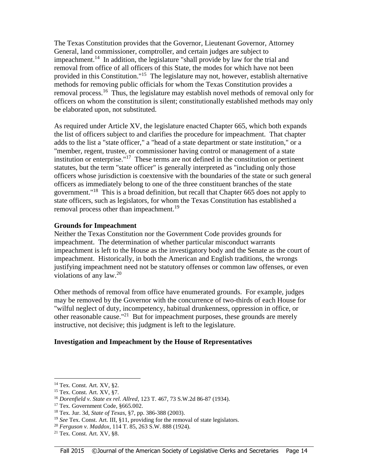The Texas Constitution provides that the Governor, Lieutenant Governor, Attorney General, land commissioner, comptroller, and certain judges are subject to impeachment.<sup>14</sup> In addition, the legislature "shall provide by law for the trial and removal from office of all officers of this State, the modes for which have not been provided in this Constitution."<sup>15</sup> The legislature may not, however, establish alternative methods for removing public officials for whom the Texas Constitution provides a removal process.<sup>16</sup> Thus, the legislature may establish novel methods of removal only for officers on whom the constitution is silent; constitutionally established methods may only be elaborated upon, not substituted.

As required under Article XV, the legislature enacted Chapter 665, which both expands the list of officers subject to and clarifies the procedure for impeachment. That chapter adds to the list a "state officer," a "head of a state department or state institution," or a "member, regent, trustee, or commissioner having control or management of a state institution or enterprise."<sup>17</sup> These terms are not defined in the constitution or pertinent statutes, but the term "state officer" is generally interpreted as "including only those officers whose jurisdiction is coextensive with the boundaries of the state or such general officers as immediately belong to one of the three constituent branches of the state government."<sup>18</sup> This is a broad definition, but recall that Chapter 665 does not apply to state officers, such as legislators, for whom the Texas Constitution has established a removal process other than impeachment.<sup>19</sup>

#### **Grounds for Impeachment**

Neither the Texas Constitution nor the Government Code provides grounds for impeachment. The determination of whether particular misconduct warrants impeachment is left to the House as the investigatory body and the Senate as the court of impeachment. Historically, in both the American and English traditions, the wrongs justifying impeachment need not be statutory offenses or common law offenses, or even violations of any law. $20$ 

Other methods of removal from office have enumerated grounds. For example, judges may be removed by the Governor with the concurrence of two-thirds of each House for "wilful neglect of duty, incompetency, habitual drunkenness, oppression in office, or other reasonable cause."<sup>21</sup> But for impeachment purposes, these grounds are merely instructive, not decisive; this judgment is left to the legislature.

#### **Investigation and Impeachment by the House of Representatives**

 $\overline{a}$ 

<sup>14</sup> Tex. Const. Art. XV, §2.

<sup>15</sup> Tex. Const. Art. XV, §7.

<sup>16</sup> *Dorenfield v. State ex rel. Allred*, 123 T. 467, 73 S.W.2d 86-87 (1934).

<sup>&</sup>lt;sup>17</sup> Tex. Government Code, §665.002.

<sup>18</sup> Tex. Jur. 3d, *State of Texas*, §7, pp. 386-388 (2003).

<sup>&</sup>lt;sup>19</sup> See Tex. Const. Art. III, §11, providing for the removal of state legislators.

<sup>20</sup> *Ferguson v. Maddox*, 114 T. 85, 263 S.W. 888 (1924).

<sup>21</sup> Tex. Const. Art. XV, §8.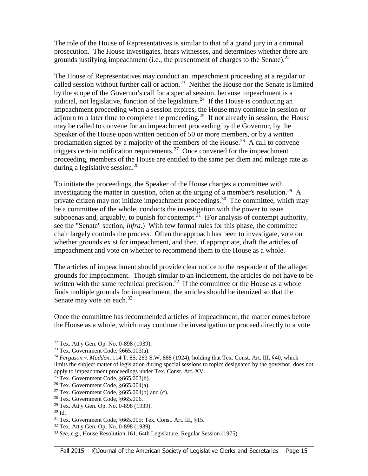The role of the House of Representatives is similar to that of a grand jury in a criminal prosecution. The House investigates, hears witnesses, and determines whether there are grounds justifying impeachment (i.e., the presentment of charges to the Senate).<sup>22</sup>

The House of Representatives may conduct an impeachment proceeding at a regular or called session without further call or action.<sup>23</sup> Neither the House nor the Senate is limited by the scope of the Governor's call for a special session, because impeachment is a judicial, not legislative, function of the legislature.<sup>24</sup> If the House is conducting an impeachment proceeding when a session expires, the House may continue in session or adjourn to a later time to complete the proceeding.<sup>25</sup> If not already in session, the House may be called to convene for an impeachment proceeding by the Governor, by the Speaker of the House upon written petition of 50 or more members, or by a written proclamation signed by a majority of the members of the House.<sup>26</sup> A call to convene triggers certain notification requirements.<sup>27</sup> Once convened for the impeachment proceeding, members of the House are entitled to the same per diem and mileage rate as during a legislative session.<sup>28</sup>

To initiate the proceedings, the Speaker of the House charges a committee with investigating the matter in question, often at the urging of a member's resolution.<sup>29</sup> A private citizen may not initiate impeachment proceedings.<sup>30</sup> The committee, which may be a committee of the whole, conducts the investigation with the power to issue subpoenas and, arguably, to punish for contempt.<sup>31</sup> (For analysis of contempt authority, see the "Senate" section, *infra*.) With few formal rules for this phase, the committee chair largely controls the process. Often the approach has been to investigate, vote on whether grounds exist for impeachment, and then, if appropriate, draft the articles of impeachment and vote on whether to recommend them to the House as a whole.

The articles of impeachment should provide clear notice to the respondent of the alleged grounds for impeachment. Though similar to an indictment, the articles do not have to be written with the same technical precision.<sup>32</sup> If the committee or the House as a whole finds multiple grounds for impeachment, the articles should be itemized so that the Senate may vote on each.<sup>33</sup>

Once the committee has recommended articles of impeachment, the matter comes before the House as a whole, which may continue the investigation or proceed directly to a vote

 $\overline{a}$ 

<sup>22</sup> Tex. Att'y Gen. Op. No. 0-898 (1939).

 $23$  Tex. Government Code,  $§665.003(a)$ .

<sup>24</sup> *Ferguson v. Maddox*, 114 T. 85, 263 S.W. 888 (1924), holding that Tex. Const. Art. III, §40, which limits the subject matter of legislation during special sessions to topics designated by the governor, does not apply to impeachment proceedings under Tex. Const. Art. XV.

 $^{25}$  Tex. Government Code, §665.003(b).

 $26$  Tex. Government Code,  $§665.004(a)$ .

<sup>&</sup>lt;sup>27</sup> Tex. Government Code,  $§665.004(b)$  and (c).

<sup>28</sup> Tex. Government Code, §665.006.

<sup>29</sup> Tex. Att'y Gen. Op. No. 0-898 (1939).

<sup>30</sup> Id.

<sup>31</sup> Tex. Government Code, §665.005; Tex. Const. Art. III, §15.

<sup>32</sup> Tex. Att'y Gen. Op. No. 0-898 (1939).

<sup>33</sup> *See*, e.g., House Resolution 161, 64th Legislature, Regular Session (1975).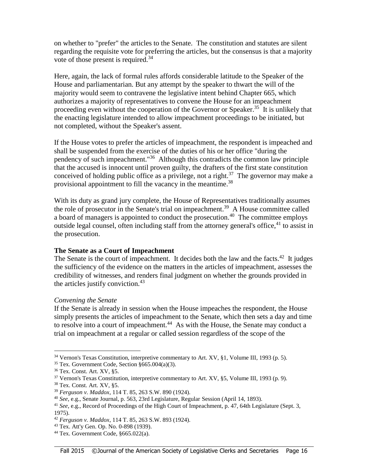on whether to "prefer" the articles to the Senate. The constitution and statutes are silent regarding the requisite vote for preferring the articles, but the consensus is that a majority vote of those present is required.<sup>34</sup>

Here, again, the lack of formal rules affords considerable latitude to the Speaker of the House and parliamentarian. But any attempt by the speaker to thwart the will of the majority would seem to contravene the legislative intent behind Chapter 665, which authorizes a majority of representatives to convene the House for an impeachment proceeding even without the cooperation of the Governor or Speaker.<sup>35</sup> It is unlikely that the enacting legislature intended to allow impeachment proceedings to be initiated, but not completed, without the Speaker's assent.

If the House votes to prefer the articles of impeachment, the respondent is impeached and shall be suspended from the exercise of the duties of his or her office "during the pendency of such impeachment."<sup>36</sup> Although this contradicts the common law principle that the accused is innocent until proven guilty, the drafters of the first state constitution conceived of holding public office as a privilege, not a right.<sup>37</sup> The governor may make a provisional appointment to fill the vacancy in the meantime.<sup>38</sup>

With its duty as grand jury complete, the House of Representatives traditionally assumes the role of prosecutor in the Senate's trial on impeachment.<sup>39</sup> A House committee called a board of managers is appointed to conduct the prosecution.<sup>40</sup> The committee employs outside legal counsel, often including staff from the attorney general's office,  $41$  to assist in the prosecution.

#### **The Senate as a Court of Impeachment**

The Senate is the court of impeachment. It decides both the law and the facts. $42$  It judges the sufficiency of the evidence on the matters in the articles of impeachment, assesses the credibility of witnesses, and renders final judgment on whether the grounds provided in the articles justify conviction.<sup>43</sup>

#### *Convening the Senate*

If the Senate is already in session when the House impeaches the respondent, the House simply presents the articles of impeachment to the Senate, which then sets a day and time to resolve into a court of impeachment.<sup>44</sup> As with the House, the Senate may conduct a trial on impeachment at a regular or called session regardless of the scope of the

l <sup>34</sup> Vernon's Texas Constitution, interpretive commentary to Art. XV, §1, Volume III, 1993 (p. 5).

 $35$  Tex. Government Code, Section  $§665.004(a)(3)$ .

<sup>36</sup> Tex. Const. Art. XV, §5.

 $37$  Vernon's Texas Constitution, interpretive commentary to Art. XV, §5, Volume III, 1993 (p. 9).

<sup>38</sup> Tex. Const. Art. XV, §5.

<sup>39</sup> *Ferguson v. Maddox*, 114 T. 85, 263 S.W. 890 (1924).

<sup>40</sup> *See*, e.g., Senate Journal, p. 563, 23rd Legislature, Regular Session (April 14, 1893).

<sup>41</sup> *See*, e.g., Record of Proceedings of the High Court of Impeachment, p. 47, 64th Legislature (Sept. 3, 1975).

<sup>42</sup> *Ferguson v. Maddox*, 114 T. 85, 263 S.W. 893 (1924).

<sup>43</sup> Tex. Att'y Gen. Op. No. 0-898 (1939).

 $44$  Tex. Government Code,  $§665.022(a)$ .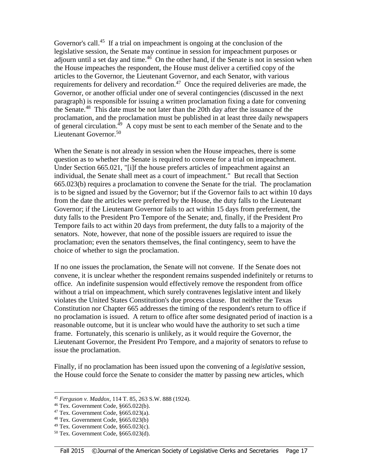Governor's call. $45$  If a trial on impeachment is ongoing at the conclusion of the legislative session, the Senate may continue in session for impeachment purposes or adjourn until a set day and time.<sup>46</sup> On the other hand, if the Senate is not in session when the House impeaches the respondent, the House must deliver a certified copy of the articles to the Governor, the Lieutenant Governor, and each Senator, with various requirements for delivery and recordation.<sup>47</sup> Once the required deliveries are made, the Governor, or another official under one of several contingencies (discussed in the next paragraph) is responsible for issuing a written proclamation fixing a date for convening the Senate.<sup>48</sup> This date must be not later than the 20th day after the issuance of the proclamation, and the proclamation must be published in at least three daily newspapers of general circulation.<sup>49</sup> A copy must be sent to each member of the Senate and to the Lieutenant Governor.<sup>50</sup>

When the Senate is not already in session when the House impeaches, there is some question as to whether the Senate is required to convene for a trial on impeachment. Under Section 665.021, "[i]f the house prefers articles of impeachment against an individual, the Senate shall meet as a court of impeachment." But recall that Section 665.023(b) requires a proclamation to convene the Senate for the trial. The proclamation is to be signed and issued by the Governor; but if the Governor fails to act within 10 days from the date the articles were preferred by the House, the duty falls to the Lieutenant Governor; if the Lieutenant Governor fails to act within 15 days from preferment, the duty falls to the President Pro Tempore of the Senate; and, finally, if the President Pro Tempore fails to act within 20 days from preferment, the duty falls to a majority of the senators. Note, however, that none of the possible issuers are required to issue the proclamation; even the senators themselves, the final contingency, seem to have the choice of whether to sign the proclamation.

If no one issues the proclamation, the Senate will not convene. If the Senate does not convene, it is unclear whether the respondent remains suspended indefinitely or returns to office. An indefinite suspension would effectively remove the respondent from office without a trial on impeachment, which surely contravenes legislative intent and likely violates the United States Constitution's due process clause. But neither the Texas Constitution nor Chapter 665 addresses the timing of the respondent's return to office if no proclamation is issued. A return to office after some designated period of inaction is a reasonable outcome, but it is unclear who would have the authority to set such a time frame. Fortunately, this scenario is unlikely, as it would require the Governor, the Lieutenant Governor, the President Pro Tempore, and a majority of senators to refuse to issue the proclamation.

Finally, if no proclamation has been issued upon the convening of a *legislative* session, the House could force the Senate to consider the matter by passing new articles, which

<sup>45</sup> *Ferguson v. Maddox*, 114 T. 85, 263 S.W. 888 (1924).

<sup>46</sup> Tex. Government Code, §665.022(b).

 $47$  Tex. Government Code,  $§665.023(a)$ .

<sup>48</sup> Tex. Government Code, §665.023(b)

 $49$  Tex. Government Code,  $§665.023(c)$ .

<sup>50</sup> Tex. Government Code, §665.023(d).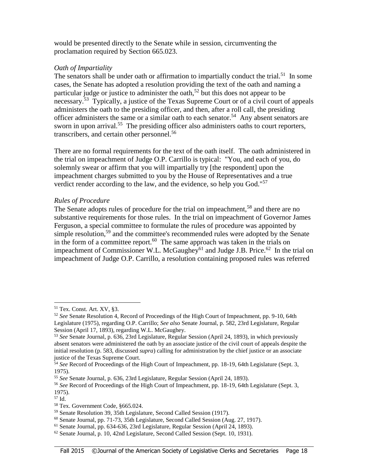would be presented directly to the Senate while in session, circumventing the proclamation required by Section 665.023.

#### *Oath of Impartiality*

The senators shall be under oath or affirmation to impartially conduct the trial.<sup>51</sup> In some cases, the Senate has adopted a resolution providing the text of the oath and naming a particular judge or justice to administer the oath,<sup>52</sup> but this does not appear to be necessary.<sup>53</sup> Typically, a justice of the Texas Supreme Court or of a civil court of appeals administers the oath to the presiding officer, and then, after a roll call, the presiding officer administers the same or a similar oath to each senator.<sup>54</sup> Any absent senators are sworn in upon arrival.<sup>55</sup> The presiding officer also administers oaths to court reporters, transcribers, and certain other personnel.<sup>56</sup>

There are no formal requirements for the text of the oath itself. The oath administered in the trial on impeachment of Judge O.P. Carrillo is typical: "You, and each of you, do solemnly swear or affirm that you will impartially try [the respondent] upon the impeachment charges submitted to you by the House of Representatives and a true verdict render according to the law, and the evidence, so help you God."<sup>57</sup>

#### *Rules of Procedure*

The Senate adopts rules of procedure for the trial on impeachment,<sup>58</sup> and there are no substantive requirements for those rules. In the trial on impeachment of Governor James Ferguson, a special committee to formulate the rules of procedure was appointed by simple resolution,<sup>59</sup> and the committee's recommended rules were adopted by the Senate in the form of a committee report. $60$  The same approach was taken in the trials on impeachment of Commissioner W.L. McGaughey<sup>61</sup> and Judge J.B. Price.<sup>62</sup> In the trial on impeachment of Judge O.P. Carrillo, a resolution containing proposed rules was referred

<sup>51</sup> Tex. Const. Art. XV, §3.

<sup>52</sup> *See* Senate Resolution 4, Record of Proceedings of the High Court of Impeachment, pp. 9-10, 64th Legislature (1975), regarding O.P. Carrillo; *See also* Senate Journal, p. 582, 23rd Legislature, Regular Session (April 17, 1893), regarding W.L. McGaughey.

<sup>53</sup> *See* Senate Journal, p. 636, 23rd Legislature, Regular Session (April 24, 1893), in which previously absent senators were administered the oath by an associate justice of the civil court of appeals despite the initial resolution (p. 583, discussed *supra*) calling for administration by the chief justice or an associate justice of the Texas Supreme Court.

<sup>&</sup>lt;sup>54</sup> See Record of Proceedings of the High Court of Impeachment, pp. 18-19, 64th Legislature (Sept. 3, 1975).

<sup>55</sup> *See* Senate Journal, p. 636, 23rd Legislature, Regular Session (April 24, 1893).

<sup>56</sup> *See* Record of Proceedings of the High Court of Impeachment, pp. 18-19, 64th Legislature (Sept. 3, 1975).

<sup>57</sup> Id.

<sup>58</sup> Tex. Government Code, §665.024.

<sup>59</sup> Senate Resolution 39, 35th Legislature, Second Called Session (1917).

<sup>60</sup> Senate Journal, pp. 71-73, 35th Legislature, Second Called Session (Aug. 27, 1917).

<sup>61</sup> Senate Journal, pp. 634-636, 23rd Legislature, Regular Session (April 24, 1893).

 $62$  Senate Journal, p. 10, 42nd Legislature, Second Called Session (Sept. 10, 1931).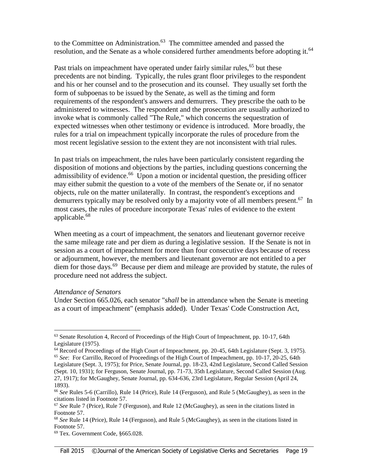to the Committee on Administration.<sup>63</sup> The committee amended and passed the resolution, and the Senate as a whole considered further amendments before adopting it.<sup>64</sup>

Past trials on impeachment have operated under fairly similar rules, <sup>65</sup> but these precedents are not binding. Typically, the rules grant floor privileges to the respondent and his or her counsel and to the prosecution and its counsel. They usually set forth the form of subpoenas to be issued by the Senate, as well as the timing and form requirements of the respondent's answers and demurrers. They prescribe the oath to be administered to witnesses. The respondent and the prosecution are usually authorized to invoke what is commonly called "The Rule," which concerns the sequestration of expected witnesses when other testimony or evidence is introduced. More broadly, the rules for a trial on impeachment typically incorporate the rules of procedure from the most recent legislative session to the extent they are not inconsistent with trial rules.

In past trials on impeachment, the rules have been particularly consistent regarding the disposition of motions and objections by the parties, including questions concerning the admissibility of evidence.<sup>66</sup> Upon a motion or incidental question, the presiding officer may either submit the question to a vote of the members of the Senate or, if no senator objects, rule on the matter unilaterally. In contrast, the respondent's exceptions and demurrers typically may be resolved only by a majority vote of all members present.<sup>67</sup> In most cases, the rules of procedure incorporate Texas' rules of evidence to the extent applicable.<sup>68</sup>

When meeting as a court of impeachment, the senators and lieutenant governor receive the same mileage rate and per diem as during a legislative session. If the Senate is not in session as a court of impeachment for more than four consecutive days because of recess or adjournment, however, the members and lieutenant governor are not entitled to a per diem for those days.<sup>69</sup> Because per diem and mileage are provided by statute, the rules of procedure need not address the subject.

#### *Attendance of Senators*

l

Under Section 665.026, each senator "*shall* be in attendance when the Senate is meeting as a court of impeachment" (emphasis added). Under Texas' Code Construction Act,

<sup>&</sup>lt;sup>63</sup> Senate Resolution 4, Record of Proceedings of the High Court of Impeachment, pp. 10-17, 64th Legislature (1975).

<sup>&</sup>lt;sup>64</sup> Record of Proceedings of the High Court of Impeachment, pp. 20-45, 64th Legislature (Sept. 3, 1975).

<sup>65</sup> *See*: For Carrillo, Record of Proceedings of the High Court of Impeachment, pp. 10-17, 20-25, 64th Legislature (Sept. 3, 1975); for Price, Senate Journal, pp. 18-23, 42nd Legislature, Second Called Session (Sept. 10, 1931); for Ferguson, Senate Journal, pp. 71-73, 35th Legislature, Second Called Session (Aug. 27, 1917); for McGaughey, Senate Journal, pp. 634-636, 23rd Legislature, Regular Session (April 24, 1893).

<sup>66</sup> *See* Rules 5-6 (Carrillo), Rule 14 (Price), Rule 14 (Ferguson), and Rule 5 (McGaughey), as seen in the citations listed in Footnote 57.

<sup>67</sup> *See* Rule 7 (Price), Rule 7 (Ferguson), and Rule 12 (McGaughey), as seen in the citations listed in Footnote 57.

<sup>68</sup> *See* Rule 14 (Price), Rule 14 (Ferguson), and Rule 5 (McGaughey), as seen in the citations listed in Footnote 57.

<sup>69</sup> Tex. Government Code, §665.028.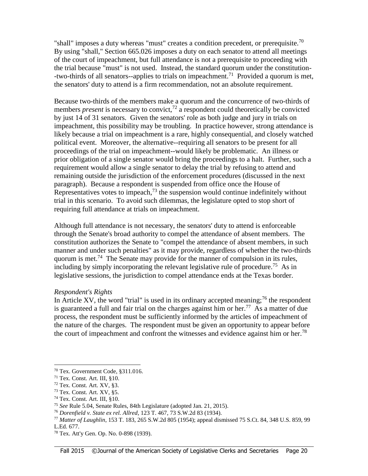"shall" imposes a duty whereas "must" creates a condition precedent, or prerequisite.<sup>70</sup> By using "shall," Section 665.026 imposes a duty on each senator to attend all meetings of the court of impeachment, but full attendance is not a prerequisite to proceeding with the trial because "must" is not used. Instead, the standard quorum under the constitution- -two-thirds of all senators--applies to trials on impeachment.<sup>71</sup> Provided a quorum is met, the senators' duty to attend is a firm recommendation, not an absolute requirement.

Because two-thirds of the members make a quorum and the concurrence of two-thirds of members *present* is necessary to convict,<sup>72</sup> a respondent could theoretically be convicted by just 14 of 31 senators. Given the senators' role as both judge and jury in trials on impeachment, this possibility may be troubling. In practice however, strong attendance is likely because a trial on impeachment is a rare, highly consequential, and closely watched political event. Moreover, the alternative--requiring all senators to be present for all proceedings of the trial on impeachment--would likely be problematic. An illness or prior obligation of a single senator would bring the proceedings to a halt. Further, such a requirement would allow a single senator to delay the trial by refusing to attend and remaining outside the jurisdiction of the enforcement procedures (discussed in the next paragraph). Because a respondent is suspended from office once the House of Representatives votes to impeach, $^{73}$  the suspension would continue indefinitely without trial in this scenario. To avoid such dilemmas, the legislature opted to stop short of requiring full attendance at trials on impeachment.

Although full attendance is not necessary, the senators' duty to attend is enforceable through the Senate's broad authority to compel the attendance of absent members. The constitution authorizes the Senate to "compel the attendance of absent members, in such manner and under such penalties" as it may provide, regardless of whether the two-thirds quorum is met.<sup>74</sup> The Senate may provide for the manner of compulsion in its rules, including by simply incorporating the relevant legislative rule of procedure.<sup>75</sup> As in legislative sessions, the jurisdiction to compel attendance ends at the Texas border.

#### *Respondent's Rights*

In Article XV, the word "trial" is used in its ordinary accepted meaning;  $^{76}$  the respondent is guaranteed a full and fair trial on the charges against him or her.<sup>77</sup> As a matter of due process, the respondent must be sufficiently informed by the articles of impeachment of the nature of the charges. The respondent must be given an opportunity to appear before the court of impeachment and confront the witnesses and evidence against him or her.<sup>78</sup>

 $\overline{a}$ 

<sup>70</sup> Tex. Government Code, §311.016.

 $71$  Tex. Const. Art. III,  $§10$ .

<sup>72</sup> Tex. Const. Art. XV, §3.

<sup>73</sup> Tex. Const. Art. XV, §5.

 $74$  Tex. Const. Art. III,  $\S 10$ .

<sup>75</sup> *See* Rule 5.04, Senate Rules, 84th Legislature (adopted Jan. 21, 2015).

<sup>76</sup> *Dorenfield v. State ex rel. Allred*, 123 T. 467, 73 S.W.2d 83 (1934).

<sup>77</sup> *Matter of Laughlin*, 153 T. 183, 265 S.W.2d 805 (1954); appeal dismissed 75 S.Ct. 84, 348 U.S. 859, 99 L.Ed. 677.

<sup>78</sup> Tex. Att'y Gen. Op. No. 0-898 (1939).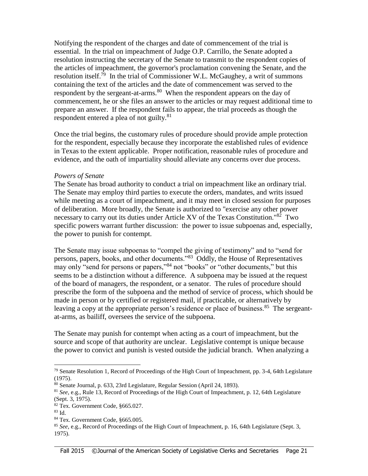Notifying the respondent of the charges and date of commencement of the trial is essential. In the trial on impeachment of Judge O.P. Carrillo, the Senate adopted a resolution instructing the secretary of the Senate to transmit to the respondent copies of the articles of impeachment, the governor's proclamation convening the Senate, and the resolution itself.<sup>79</sup> In the trial of Commissioner W.L. McGaughey, a writ of summons containing the text of the articles and the date of commencement was served to the respondent by the sergeant-at-arms.<sup>80</sup> When the respondent appears on the day of commencement, he or she files an answer to the articles or may request additional time to prepare an answer. If the respondent fails to appear, the trial proceeds as though the respondent entered a plea of not guilty.<sup>81</sup>

Once the trial begins, the customary rules of procedure should provide ample protection for the respondent, especially because they incorporate the established rules of evidence in Texas to the extent applicable. Proper notification, reasonable rules of procedure and evidence, and the oath of impartiality should alleviate any concerns over due process.

#### *Powers of Senate*

The Senate has broad authority to conduct a trial on impeachment like an ordinary trial. The Senate may employ third parties to execute the orders, mandates, and writs issued while meeting as a court of impeachment, and it may meet in closed session for purposes of deliberation. More broadly, the Senate is authorized to "exercise any other power necessary to carry out its duties under Article XV of the Texas Constitution."<sup>82</sup> Two specific powers warrant further discussion: the power to issue subpoenas and, especially, the power to punish for contempt.

The Senate may issue subpoenas to "compel the giving of testimony" and to "send for persons, papers, books, and other documents."<sup>83</sup> Oddly, the House of Representatives may only "send for persons or papers,"<sup>84</sup> not "books" or "other documents," but this seems to be a distinction without a difference. A subpoena may be issued at the request of the board of managers, the respondent, or a senator. The rules of procedure should prescribe the form of the subpoena and the method of service of process, which should be made in person or by certified or registered mail, if practicable, or alternatively by leaving a copy at the appropriate person's residence or place of business.<sup>85</sup> The sergeantat-arms, as bailiff, oversees the service of the subpoena.

The Senate may punish for contempt when acting as a court of impeachment, but the source and scope of that authority are unclear. Legislative contempt is unique because the power to convict and punish is vested outside the judicial branch. When analyzing a

 $\overline{a}$ 

 $79$  Senate Resolution 1, Record of Proceedings of the High Court of Impeachment, pp. 3-4, 64th Legislature (1975).

<sup>80</sup> Senate Journal, p. 633, 23rd Legislature, Regular Session (April 24, 1893).

<sup>81</sup> *See*, e.g., Rule 13, Record of Proceedings of the High Court of Impeachment, p. 12, 64th Legislature (Sept. 3, 1975).

<sup>82</sup> Tex. Government Code, §665.027.

<sup>83</sup> Id.

<sup>84</sup> Tex. Government Code, §665.005.

<sup>85</sup> *See*, e.g., Record of Proceedings of the High Court of Impeachment, p. 16, 64th Legislature (Sept. 3, 1975).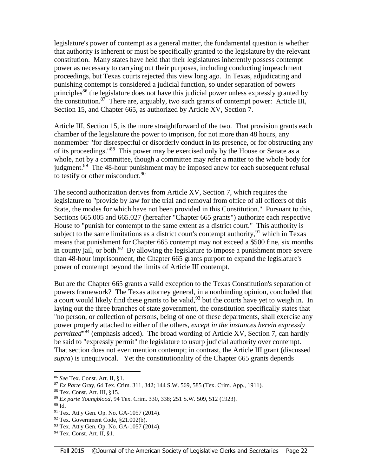legislature's power of contempt as a general matter, the fundamental question is whether that authority is inherent or must be specifically granted to the legislature by the relevant constitution. Many states have held that their legislatures inherently possess contempt power as necessary to carrying out their purposes, including conducting impeachment proceedings, but Texas courts rejected this view long ago. In Texas, adjudicating and punishing contempt is considered a judicial function, so under separation of powers principles<sup>86</sup> the legislature does not have this judicial power unless expressly granted by the constitution.<sup>87</sup> There are, arguably, two such grants of contempt power: Article III, Section 15, and Chapter 665, as authorized by Article XV, Section 7.

Article III, Section 15, is the more straightforward of the two. That provision grants each chamber of the legislature the power to imprison, for not more than 48 hours, any nonmember "for disrespectful or disorderly conduct in its presence, or for obstructing any of its proceedings."<sup>88</sup> This power may be exercised only by the House or Senate as a whole, not by a committee, though a committee may refer a matter to the whole body for judgment.<sup>89</sup> The 48-hour punishment may be imposed anew for each subsequent refusal to testify or other misconduct. $90$ 

The second authorization derives from Article XV, Section 7, which requires the legislature to "provide by law for the trial and removal from office of all officers of this State, the modes for which have not been provided in this Constitution." Pursuant to this, Sections 665.005 and 665.027 (hereafter "Chapter 665 grants") authorize each respective House to "punish for contempt to the same extent as a district court." This authority is subject to the same limitations as a district court's contempt authority,  $91$  which in Texas means that punishment for Chapter 665 contempt may not exceed a \$500 fine, six months in county jail, or both. $92$  By allowing the legislature to impose a punishment more severe than 48-hour imprisonment, the Chapter 665 grants purport to expand the legislature's power of contempt beyond the limits of Article III contempt.

But are the Chapter 665 grants a valid exception to the Texas Constitution's separation of powers framework? The Texas attorney general, in a nonbinding opinion, concluded that a court would likely find these grants to be valid,  $93$  but the courts have yet to weigh in. In laying out the three branches of state government, the constitution specifically states that "no person, or collection of persons, being of one of these departments, shall exercise any power properly attached to either of the others, *except in the instances herein expressly permitted*" <sup>94</sup> (emphasis added). The broad wording of Article XV, Section 7, can hardly be said to "expressly permit" the legislature to usurp judicial authority over contempt. That section does not even mention contempt; in contrast, the Article III grant (discussed *supra*) is unequivocal. Yet the constitutionality of the Chapter 665 grants depends

<sup>86</sup> *See* Tex. Const. Art. II, §1.

<sup>87</sup> *Ex Parte* Gray, 64 Tex. Crim. 311, 342; 144 S.W. 569, 585 (Tex. Crim. App., 1911).

<sup>88</sup> Tex. Const. Art. III, §15.

<sup>89</sup> *Ex parte Youngblood*, 94 Tex. Crim. 330, 338; 251 S.W. 509, 512 (1923).

<sup>90</sup> Id.

<sup>&</sup>lt;sup>91</sup> Tex. Att'y Gen. Op. No. GA-1057 (2014).

<sup>92</sup> Tex. Government Code, §21.002(b).

<sup>93</sup> Tex. Att'y Gen. Op. No. GA-1057 (2014).

<sup>94</sup> Tex. Const. Art. II, §1.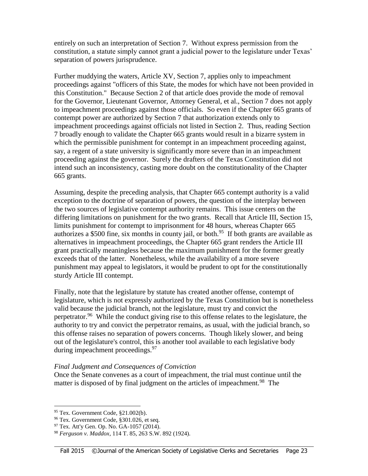entirely on such an interpretation of Section 7. Without express permission from the constitution, a statute simply cannot grant a judicial power to the legislature under Texas' separation of powers jurisprudence.

Further muddying the waters, Article XV, Section 7, applies only to impeachment proceedings against "officers of this State, the modes for which have not been provided in this Constitution." Because Section 2 of that article does provide the mode of removal for the Governor, Lieutenant Governor, Attorney General, et al., Section 7 does not apply to impeachment proceedings against those officials. So even if the Chapter 665 grants of contempt power are authorized by Section 7 that authorization extends only to impeachment proceedings against officials not listed in Section 2. Thus, reading Section 7 broadly enough to validate the Chapter 665 grants would result in a bizarre system in which the permissible punishment for contempt in an impeachment proceeding against, say, a regent of a state university is significantly more severe than in an impeachment proceeding against the governor. Surely the drafters of the Texas Constitution did not intend such an inconsistency, casting more doubt on the constitutionality of the Chapter 665 grants.

Assuming, despite the preceding analysis, that Chapter 665 contempt authority is a valid exception to the doctrine of separation of powers, the question of the interplay between the two sources of legislative contempt authority remains. This issue centers on the differing limitations on punishment for the two grants. Recall that Article III, Section 15, limits punishment for contempt to imprisonment for 48 hours, whereas Chapter 665 authorizes a \$500 fine, six months in county jail, or both.<sup>95</sup> If both grants are available as alternatives in impeachment proceedings, the Chapter 665 grant renders the Article III grant practically meaningless because the maximum punishment for the former greatly exceeds that of the latter. Nonetheless, while the availability of a more severe punishment may appeal to legislators, it would be prudent to opt for the constitutionally sturdy Article III contempt.

Finally, note that the legislature by statute has created another offense, contempt of legislature, which is not expressly authorized by the Texas Constitution but is nonetheless valid because the judicial branch, not the legislature, must try and convict the perpetrator.<sup>96</sup> While the conduct giving rise to this offense relates to the legislature, the authority to try and convict the perpetrator remains, as usual, with the judicial branch, so this offense raises no separation of powers concerns. Though likely slower, and being out of the legislature's control, this is another tool available to each legislative body during impeachment proceedings.<sup>97</sup>

#### *Final Judgment and Consequences of Conviction*

Once the Senate convenes as a court of impeachment, the trial must continue until the matter is disposed of by final judgment on the articles of impeachment.<sup>98</sup> The

 $95$  Tex. Government Code,  $§21.002(b)$ .

<sup>&</sup>lt;sup>96</sup> Tex. Government Code, §301.026, et seq.

 $97$  Tex. Att'y Gen. Op. No. GA-1057 (2014).

<sup>98</sup> *Ferguson v. Maddox*, 114 T. 85, 263 S.W. 892 (1924).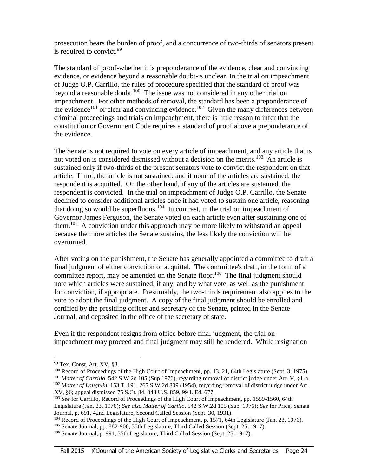prosecution bears the burden of proof, and a concurrence of two-thirds of senators present is required to convict.  $99$ 

The standard of proof-whether it is preponderance of the evidence, clear and convincing evidence, or evidence beyond a reasonable doubt-is unclear. In the trial on impeachment of Judge O.P. Carrillo, the rules of procedure specified that the standard of proof was beyond a reasonable doubt.<sup>100</sup> The issue was not considered in any other trial on impeachment. For other methods of removal, the standard has been a preponderance of the evidence<sup>101</sup> or clear and convincing evidence.<sup>102</sup> Given the many differences between criminal proceedings and trials on impeachment, there is little reason to infer that the constitution or Government Code requires a standard of proof above a preponderance of the evidence.

The Senate is not required to vote on every article of impeachment, and any article that is not voted on is considered dismissed without a decision on the merits.<sup>103</sup> An article is sustained only if two-thirds of the present senators vote to convict the respondent on that article. If not, the article is not sustained, and if none of the articles are sustained, the respondent is acquitted. On the other hand, if any of the articles are sustained, the respondent is convicted. In the trial on impeachment of Judge O.P. Carrillo, the Senate declined to consider additional articles once it had voted to sustain one article, reasoning that doing so would be superfluous.<sup>104</sup> In contrast, in the trial on impeachment of Governor James Ferguson, the Senate voted on each article even after sustaining one of them.<sup>105</sup> A conviction under this approach may be more likely to withstand an appeal because the more articles the Senate sustains, the less likely the conviction will be overturned.

After voting on the punishment, the Senate has generally appointed a committee to draft a final judgment of either conviction or acquittal. The committee's draft, in the form of a committee report, may be amended on the Senate floor.<sup>106</sup> The final judgment should note which articles were sustained, if any, and by what vote, as well as the punishment for conviction, if appropriate. Presumably, the two-thirds requirement also applies to the vote to adopt the final judgment. A copy of the final judgment should be enrolled and certified by the presiding officer and secretary of the Senate, printed in the Senate Journal, and deposited in the office of the secretary of state.

Even if the respondent resigns from office before final judgment, the trial on impeachment may proceed and final judgment may still be rendered. While resignation

<sup>99</sup> Tex. Const. Art. XV, §3.

<sup>&</sup>lt;sup>100</sup> Record of Proceedings of the High Court of Impeachment, pp. 13, 21, 64th Legislature (Sept. 3, 1975). <sup>101</sup> *Matter of Carrillo*, 542 S.W.2d 105 (Sup.1976), regarding removal of district judge under Art. V, §1-a. <sup>102</sup> Matter of Laughlin, 153 T. 191, 265 S.W.2d 809 (1954), regarding removal of district judge under Art. XV, §6; appeal dismissed 75 S.Ct. 84, 348 U.S. 859, 99 L.Ed. 677.

<sup>103</sup> *See* for Carrillo, Record of Proceedings of the High Court of Impeachment, pp. 1559-1560, 64th Legislature (Jan. 23, 1976); *See also Matter of Carillo*, 542 S.W.2d 105 (Sup. 1976); *See* for Price, Senate Journal, p. 691, 42nd Legislature, Second Called Session (Sept. 30, 1931).

<sup>&</sup>lt;sup>104</sup> Record of Proceedings of the High Court of Impeachment, p. 1571, 64th Legislature (Jan. 23, 1976).

<sup>&</sup>lt;sup>105</sup> Senate Journal, pp. 882-906, 35th Legislature, Third Called Session (Sept. 25, 1917).

<sup>106</sup> Senate Journal, p. 991, 35th Legislature, Third Called Session (Sept. 25, 1917).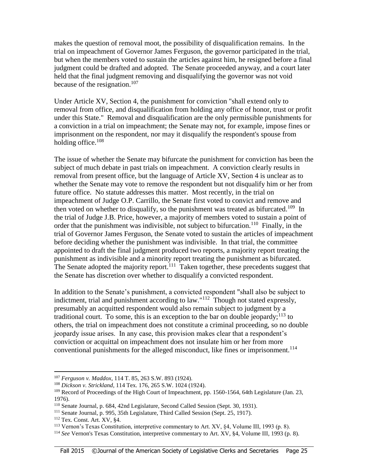makes the question of removal moot, the possibility of disqualification remains. In the trial on impeachment of Governor James Ferguson, the governor participated in the trial, but when the members voted to sustain the articles against him, he resigned before a final judgment could be drafted and adopted. The Senate proceeded anyway, and a court later held that the final judgment removing and disqualifying the governor was not void because of the resignation.<sup>107</sup>

Under Article XV, Section 4, the punishment for conviction "shall extend only to removal from office, and disqualification from holding any office of honor, trust or profit under this State." Removal and disqualification are the only permissible punishments for a conviction in a trial on impeachment; the Senate may not, for example, impose fines or imprisonment on the respondent, nor may it disqualify the respondent's spouse from holding office. $108$ 

The issue of whether the Senate may bifurcate the punishment for conviction has been the subject of much debate in past trials on impeachment. A conviction clearly results in removal from present office, but the language of Article XV, Section 4 is unclear as to whether the Senate may vote to remove the respondent but not disqualify him or her from future office. No statute addresses this matter. Most recently, in the trial on impeachment of Judge O.P. Carrillo, the Senate first voted to convict and remove and then voted on whether to disqualify, so the punishment was treated as bifurcated.<sup>109</sup> In the trial of Judge J.B. Price, however, a majority of members voted to sustain a point of order that the punishment was indivisible, not subject to bifurcation.<sup>110</sup> Finally, in the trial of Governor James Ferguson, the Senate voted to sustain the articles of impeachment before deciding whether the punishment was indivisible. In that trial, the committee appointed to draft the final judgment produced two reports, a majority report treating the punishment as indivisible and a minority report treating the punishment as bifurcated. The Senate adopted the majority report.<sup>111</sup> Taken together, these precedents suggest that the Senate has discretion over whether to disqualify a convicted respondent.

In addition to the Senate's punishment, a convicted respondent "shall also be subject to indictment, trial and punishment according to law." $112$  Though not stated expressly, presumably an acquitted respondent would also remain subject to judgment by a traditional court. To some, this is an exception to the bar on double jeopardy;<sup>113</sup> to others, the trial on impeachment does not constitute a criminal proceeding, so no double jeopardy issue arises. In any case, this provision makes clear that a respondent's conviction or acquittal on impeachment does not insulate him or her from more conventional punishments for the alleged misconduct, like fines or imprisonment.<sup>114</sup>

<sup>107</sup> *Ferguson v. Maddox*, 114 T. 85, 263 S.W. 893 (1924).

<sup>108</sup> *Dickson v. Strickland*, 114 Tex. 176, 265 S.W. 1024 (1924).

<sup>&</sup>lt;sup>109</sup> Record of Proceedings of the High Court of Impeachment, pp. 1560-1564, 64th Legislature (Jan. 23, 1976).

<sup>110</sup> Senate Journal, p. 684, 42nd Legislature, Second Called Session (Sept. 30, 1931).

<sup>111</sup> Senate Journal, p. 995, 35th Legislature, Third Called Session (Sept. 25, 1917).

<sup>112</sup> Tex. Const. Art. XV, §4.

<sup>113</sup> Vernon's Texas Constitution, interpretive commentary to Art. XV, §4, Volume III, 1993 (p. 8).

<sup>114</sup> *See* Vernon's Texas Constitution, interpretive commentary to Art. XV, §4, Volume III, 1993 (p. 8).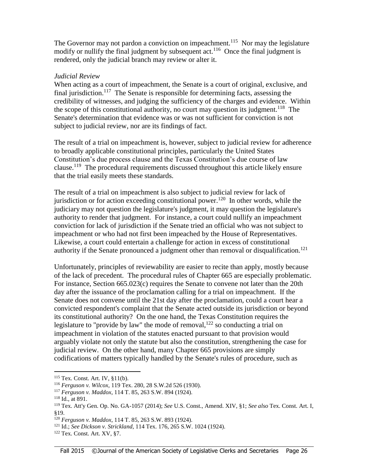The Governor may not pardon a conviction on impeachment.<sup>115</sup> Nor may the legislature modify or nullify the final judgment by subsequent  $act.<sup>116</sup>$  Once the final judgment is rendered, only the judicial branch may review or alter it.

#### *Judicial Review*

When acting as a court of impeachment, the Senate is a court of original, exclusive, and final jurisdiction.<sup>117</sup> The Senate is responsible for determining facts, assessing the credibility of witnesses, and judging the sufficiency of the charges and evidence. Within the scope of this constitutional authority, no court may question its judgment.<sup>118</sup> The Senate's determination that evidence was or was not sufficient for conviction is not subject to judicial review, nor are its findings of fact.

The result of a trial on impeachment is, however, subject to judicial review for adherence to broadly applicable constitutional principles, particularly the United States Constitution's due process clause and the Texas Constitution's due course of law clause.<sup>119</sup> The procedural requirements discussed throughout this article likely ensure that the trial easily meets these standards.

The result of a trial on impeachment is also subject to judicial review for lack of jurisdiction or for action exceeding constitutional power.<sup>120</sup> In other words, while the judiciary may not question the legislature's judgment, it may question the legislature's authority to render that judgment. For instance, a court could nullify an impeachment conviction for lack of jurisdiction if the Senate tried an official who was not subject to impeachment or who had not first been impeached by the House of Representatives. Likewise, a court could entertain a challenge for action in excess of constitutional authority if the Senate pronounced a judgment other than removal or disqualification.<sup>121</sup>

Unfortunately, principles of reviewability are easier to recite than apply, mostly because of the lack of precedent. The procedural rules of Chapter 665 are especially problematic. For instance, Section 665.023(c) requires the Senate to convene not later than the 20th day after the issuance of the proclamation calling for a trial on impeachment. If the Senate does not convene until the 21st day after the proclamation, could a court hear a convicted respondent's complaint that the Senate acted outside its jurisdiction or beyond its constitutional authority? On the one hand, the Texas Constitution requires the legislature to "provide by law" the mode of removal,  $122$  so conducting a trial on impeachment in violation of the statutes enacted pursuant to that provision would arguably violate not only the statute but also the constitution, strengthening the case for judicial review. On the other hand, many Chapter 665 provisions are simply codifications of matters typically handled by the Senate's rules of procedure, such as

<sup>115</sup> Tex. Const. Art. IV, §11(b).

<sup>116</sup> *Ferguson v. Wilcox*, 119 Tex. 280, 28 S.W.2d 526 (1930).

<sup>117</sup> *Ferguson v. Maddox*, 114 T. 85, 263 S.W. 894 (1924).

<sup>118</sup> Id., at 891.

<sup>119</sup> Tex. Att'y Gen. Op. No. GA-1057 (2014); *See* U.S. Const., Amend. XIV, §1; *See also* Tex. Const. Art. I, §19.

<sup>120</sup> *Ferguson v. Maddox*, 114 T. 85, 263 S.W. 893 (1924).

<sup>121</sup> Id.; *See Dickson v. Strickland*, 114 Tex. 176, 265 S.W. 1024 (1924).

<sup>122</sup> Tex. Const. Art. XV, §7.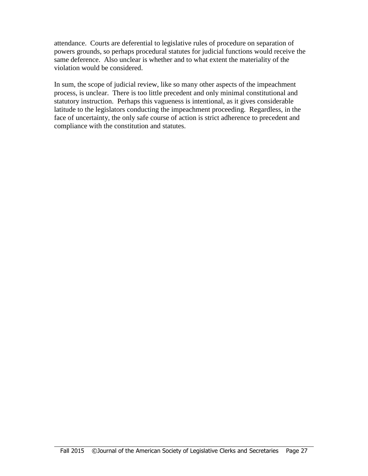attendance. Courts are deferential to legislative rules of procedure on separation of powers grounds, so perhaps procedural statutes for judicial functions would receive the same deference. Also unclear is whether and to what extent the materiality of the violation would be considered.

In sum, the scope of judicial review, like so many other aspects of the impeachment process, is unclear. There is too little precedent and only minimal constitutional and statutory instruction. Perhaps this vagueness is intentional, as it gives considerable latitude to the legislators conducting the impeachment proceeding. Regardless, in the face of uncertainty, the only safe course of action is strict adherence to precedent and compliance with the constitution and statutes.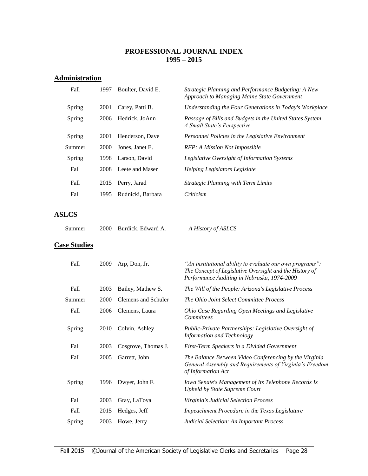#### **PROFESSIONAL JOURNAL INDEX 1995 – 2015**

## **Administration**

| Fall   | 1997 | Boulter, David E. | Strategic Planning and Performance Budgeting: A New<br>Approach to Managing Maine State Government |
|--------|------|-------------------|----------------------------------------------------------------------------------------------------|
| Spring | 2001 | Carey, Patti B.   | Understanding the Four Generations in Today's Workplace                                            |
| Spring | 2006 | Hedrick, JoAnn    | Passage of Bills and Budgets in the United States System –<br>A Small State's Perspective          |
| Spring | 2001 | Henderson, Dave   | Personnel Policies in the Legislative Environment                                                  |
| Summer | 2000 | Jones, Janet E.   | RFP: A Mission Not Impossible                                                                      |
| Spring | 1998 | Larson, David     | Legislative Oversight of Information Systems                                                       |
| Fall   | 2008 | Leete and Maser   | Helping Legislators Legislate                                                                      |
| Fall   | 2015 | Perry, Jarad      | <b>Strategic Planning with Term Limits</b>                                                         |
| Fall   | 1995 | Rudnicki, Barbara | Criticism                                                                                          |
|        |      |                   |                                                                                                    |

#### **ASLCS**

| Summer | 2000 Burdick, Edward A. | A History of ASLCS |
|--------|-------------------------|--------------------|
|        |                         |                    |

#### **Case Studies**

| Fall   | 2009 | Arp, Don, Jr.       | "An institutional ability to evaluate our own programs":<br>The Concept of Legislative Oversight and the History of<br>Performance Auditing in Nebraska, 1974-2009 |
|--------|------|---------------------|--------------------------------------------------------------------------------------------------------------------------------------------------------------------|
| Fall   | 2003 | Bailey, Mathew S.   | The Will of the People: Arizona's Legislative Process                                                                                                              |
| Summer | 2000 | Clemens and Schuler | The Ohio Joint Select Committee Process                                                                                                                            |
| Fall   | 2006 | Clemens, Laura      | Ohio Case Regarding Open Meetings and Legislative<br><b>Committees</b>                                                                                             |
| Spring | 2010 | Colvin, Ashley      | Public-Private Partnerships: Legislative Oversight of<br>Information and Technology                                                                                |
| Fall   | 2003 | Cosgrove, Thomas J. | First-Term Speakers in a Divided Government                                                                                                                        |
| Fall   | 2005 | Garrett, John       | The Balance Between Video Conferencing by the Virginia<br>General Assembly and Requirements of Virginia's Freedom<br>of Information Act                            |
| Spring | 1996 | Dwyer, John F.      | Iowa Senate's Management of Its Telephone Records Is<br><b>Upheld by State Supreme Court</b>                                                                       |
| Fall   | 2003 | Gray, LaToya        | Virginia's Judicial Selection Process                                                                                                                              |
| Fall   | 2015 | Hedges, Jeff        | Impeachment Procedure in the Texas Legislature                                                                                                                     |
| Spring | 2003 | Howe, Jerry         | Judicial Selection: An Important Process                                                                                                                           |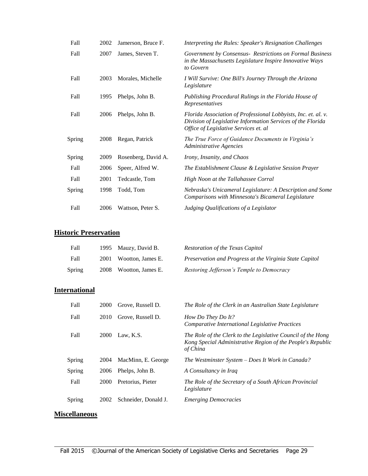| Fall   | 2002 | Jamerson, Bruce F.  | Interpreting the Rules: Speaker's Resignation Challenges                                                                                                               |
|--------|------|---------------------|------------------------------------------------------------------------------------------------------------------------------------------------------------------------|
| Fall   | 2007 | James, Steven T.    | Government by Consensus - Restrictions on Formal Business<br>in the Massachusetts Legislature Inspire Innovative Ways<br>to Govern                                     |
| Fall   | 2003 | Morales, Michelle   | I Will Survive: One Bill's Journey Through the Arizona<br>Legislature                                                                                                  |
| Fall   | 1995 | Phelps, John B.     | Publishing Procedural Rulings in the Florida House of<br>Representatives                                                                                               |
| Fall   | 2006 | Phelps, John B.     | Florida Association of Professional Lobbyists, Inc. et. al. v.<br>Division of Legislative Information Services of the Florida<br>Office of Legislative Services et. al |
| Spring | 2008 | Regan, Patrick      | The True Force of Guidance Documents in Virginia's<br>Administrative Agencies                                                                                          |
| Spring | 2009 | Rosenberg, David A. | Irony, Insanity, and Chaos                                                                                                                                             |
| Fall   | 2006 | Speer, Alfred W.    | The Establishment Clause & Legislative Session Prayer                                                                                                                  |
| Fall   | 2001 | Tedcastle, Tom      | High Noon at the Tallahassee Corral                                                                                                                                    |
| Spring | 1998 | Todd, Tom           | Nebraska's Unicameral Legislature: A Description and Some<br>Comparisons with Minnesota's Bicameral Legislature                                                        |
| Fall   | 2006 | Wattson, Peter S.   | Judging Qualifications of a Legislator                                                                                                                                 |

# **Historic Preservation**

| Fall   | 1995 Mauzy, David B.   | Restoration of the Texas Capitol                        |
|--------|------------------------|---------------------------------------------------------|
| Fall   | 2001 Wootton, James E. | Preservation and Progress at the Virginia State Capitol |
| Spring | 2008 Wootton, James E. | Restoring Jefferson's Temple to Democracy               |

# **International**

| Fall   | 2000 | Grove, Russell D.    | The Role of the Clerk in an Australian State Legislature                                                                                |
|--------|------|----------------------|-----------------------------------------------------------------------------------------------------------------------------------------|
| Fall   | 2010 | Grove, Russell D.    | How Do They Do It?<br><b>Comparative International Legislative Practices</b>                                                            |
| Fall   | 2000 | Law, K.S.            | The Role of the Clerk to the Legislative Council of the Hong<br>Kong Special Administrative Region of the People's Republic<br>of China |
| Spring | 2004 | MacMinn, E. George   | The Westminster System – Does It Work in Canada?                                                                                        |
| Spring | 2006 | Phelps, John B.      | A Consultancy in Iraq                                                                                                                   |
| Fall   | 2000 | Pretorius, Pieter    | The Role of the Secretary of a South African Provincial<br>Legislature                                                                  |
| Spring | 2002 | Schneider, Donald J. | <b>Emerging Democracies</b>                                                                                                             |
|        |      |                      |                                                                                                                                         |

## **Miscellaneous**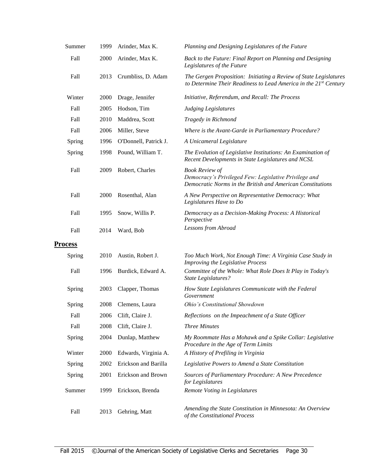| Summer         | 1999 | Arinder, Max K.       | Planning and Designing Legislatures of the Future                                                                                            |
|----------------|------|-----------------------|----------------------------------------------------------------------------------------------------------------------------------------------|
| Fall           | 2000 | Arinder, Max K.       | Back to the Future: Final Report on Planning and Designing<br>Legislatures of the Future                                                     |
| Fall           | 2013 | Crumbliss, D. Adam    | The Gergen Proposition: Initiating a Review of State Legislatures<br>to Determine Their Readiness to Lead America in the 21st Century        |
| Winter         | 2000 | Drage, Jennifer       | Initiative, Referendum, and Recall: The Process                                                                                              |
| Fall           | 2005 | Hodson, Tim           | <b>Judging Legislatures</b>                                                                                                                  |
| Fall           | 2010 | Maddrea, Scott        | Tragedy in Richmond                                                                                                                          |
| Fall           | 2006 | Miller, Steve         | Where is the Avant-Garde in Parliamentary Procedure?                                                                                         |
| Spring         | 1996 | O'Donnell, Patrick J. | A Unicameral Legislature                                                                                                                     |
| Spring         | 1998 | Pound, William T.     | The Evolution of Legislative Institutions: An Examination of<br>Recent Developments in State Legislatures and NCSL                           |
| Fall           | 2009 | Robert, Charles       | <b>Book Review of</b><br>Democracy's Privileged Few: Legislative Privilege and<br>Democratic Norms in the British and American Constitutions |
| Fall           | 2000 | Rosenthal, Alan       | A New Perspective on Representative Democracy: What<br>Legislatures Have to Do                                                               |
| Fall           | 1995 | Snow, Willis P.       | Democracy as a Decision-Making Process: A Historical<br>Perspective                                                                          |
| Fall           | 2014 | Ward, Bob             | Lessons from Abroad                                                                                                                          |
| <b>Process</b> |      |                       |                                                                                                                                              |
| Spring         | 2010 | Austin, Robert J.     | Too Much Work, Not Enough Time: A Virginia Case Study in<br>Improving the Legislative Process                                                |
| Fall           | 1996 | Burdick, Edward A.    | Committee of the Whole: What Role Does It Play in Today's<br><b>State Legislatures?</b>                                                      |
| Spring         | 2003 | Clapper, Thomas       | How State Legislatures Communicate with the Federal<br>Government                                                                            |
| Spring         | 2008 | Clemens, Laura        | Ohio's Constitutional Showdown                                                                                                               |
| Fall           | 2006 | Clift, Claire J.      | Reflections on the Impeachment of a State Officer                                                                                            |
| Fall           | 2008 | Clift, Claire J.      | <b>Three Minutes</b>                                                                                                                         |
| Spring         | 2004 | Dunlap, Matthew       | My Roommate Has a Mohawk and a Spike Collar: Legislative<br>Procedure in the Age of Term Limits                                              |
| Winter         | 2000 | Edwards, Virginia A.  | A History of Prefiling in Virginia                                                                                                           |
| Spring         | 2002 | Erickson and Barilla  | Legislative Powers to Amend a State Constitution                                                                                             |
| Spring         | 2001 | Erickson and Brown    | Sources of Parliamentary Procedure: A New Precedence<br>for Legislatures                                                                     |
| Summer         | 1999 | Erickson, Brenda      | Remote Voting in Legislatures                                                                                                                |
| Fall           | 2013 | Gehring, Matt         | Amending the State Constitution in Minnesota: An Overview<br>of the Constitutional Process                                                   |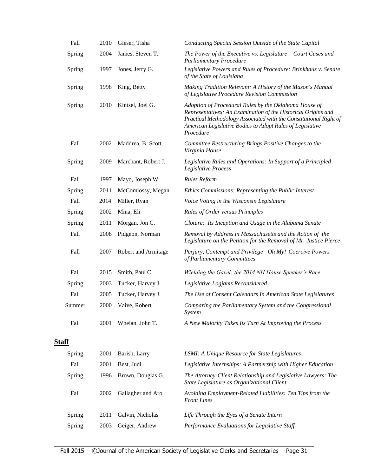| Fall         | 2010 | Gieser, Tisha       | Conducting Special Session Outside of the State Capital                                                                                                                                                                                                               |
|--------------|------|---------------------|-----------------------------------------------------------------------------------------------------------------------------------------------------------------------------------------------------------------------------------------------------------------------|
| Spring       | 2004 | James, Steven T.    | The Power of the Executive vs. Legislature $-$ Court Cases and<br><b>Parliamentary Procedure</b>                                                                                                                                                                      |
| Spring       | 1997 | Jones, Jerry G.     | Legislative Powers and Rules of Procedure: Brinkhaus v. Senate<br>of the State of Louisiana                                                                                                                                                                           |
| Spring       | 1998 | King, Betty         | Making Tradition Relevant: A History of the Mason's Manual<br>of Legislative Procedure Revision Commission                                                                                                                                                            |
| Spring       | 2010 | Kintsel, Joel G.    | Adoption of Procedural Rules by the Oklahoma House of<br>Representatives: An Examination of the Historical Origins and<br>Practical Methodology Associated with the Constitutional Right of<br>American Legislative Bodies to Adopt Rules of Legislative<br>Procedure |
| Fall         | 2002 | Maddrea, B. Scott   | Committee Restructuring Brings Positive Changes to the<br>Virginia House                                                                                                                                                                                              |
| Spring       | 2009 | Marchant, Robert J. | Legislative Rules and Operations: In Support of a Principled<br>Legislative Process                                                                                                                                                                                   |
| Fall         | 1997 | Mayo, Joseph W.     | <b>Rules Reform</b>                                                                                                                                                                                                                                                   |
| Spring       | 2011 | McComlossy, Megan   | Ethics Commissions: Representing the Public Interest                                                                                                                                                                                                                  |
| Fall         | 2014 | Miller, Ryan        | Voice Voting in the Wisconsin Legislature                                                                                                                                                                                                                             |
| Spring       | 2002 | Mina, Eli           | <b>Rules of Order versus Principles</b>                                                                                                                                                                                                                               |
| Spring       | 2011 | Morgan, Jon C.      | Cloture: Its Inception and Usage in the Alabama Senate                                                                                                                                                                                                                |
| Fall         | 2008 | Pidgeon, Norman     | Removal by Address in Massachusetts and the Action of the<br>Legislature on the Petition for the Removal of Mr. Justice Pierce                                                                                                                                        |
| Fall         | 2007 | Robert and Armitage | Perjury, Contempt and Privilege -Oh My! Coercive Powers<br>of Parliamentary Committees                                                                                                                                                                                |
| Fall         | 2015 | Smith, Paul C.      | Wielding the Gavel: the 2014 NH House Speaker's Race                                                                                                                                                                                                                  |
| Spring       | 2003 | Tucker, Harvey J.   | Legislative Logjams Reconsidered                                                                                                                                                                                                                                      |
| Fall         | 2005 | Tucker, Harvey J.   | The Use of Consent Calendars In American State Legislatures                                                                                                                                                                                                           |
| Summer       | 2000 | Vaive, Robert       | Comparing the Parliamentary System and the Congressional<br><i>System</i>                                                                                                                                                                                             |
| Fall         | 2001 | Whelan, John T.     | A New Majority Takes Its Turn At Improving the Process                                                                                                                                                                                                                |
| <b>Staff</b> |      |                     |                                                                                                                                                                                                                                                                       |
| Spring       | 2001 | Barish, Larry       | LSMI: A Unique Resource for State Legislatures                                                                                                                                                                                                                        |
| Fall         | 2001 | Best, Judi          | Legislative Internships: A Partnership with Higher Education                                                                                                                                                                                                          |
| Spring       | 1996 | Brown, Douglas G.   | The Attorney-Client Relationship and Legislative Lawyers: The<br>State Legislature as Organizational Client                                                                                                                                                           |

Fall 2002 Gallagher and Aro *Avoiding Employment-Related Liabilities: Ten Tips from the Front Lines*

Spring 2011 Galvin, Nicholas *Life Through the Eyes of a Senate Intern* Spring 2003 Geiger, Andrew *Performance Evaluations for Legislative Staff*